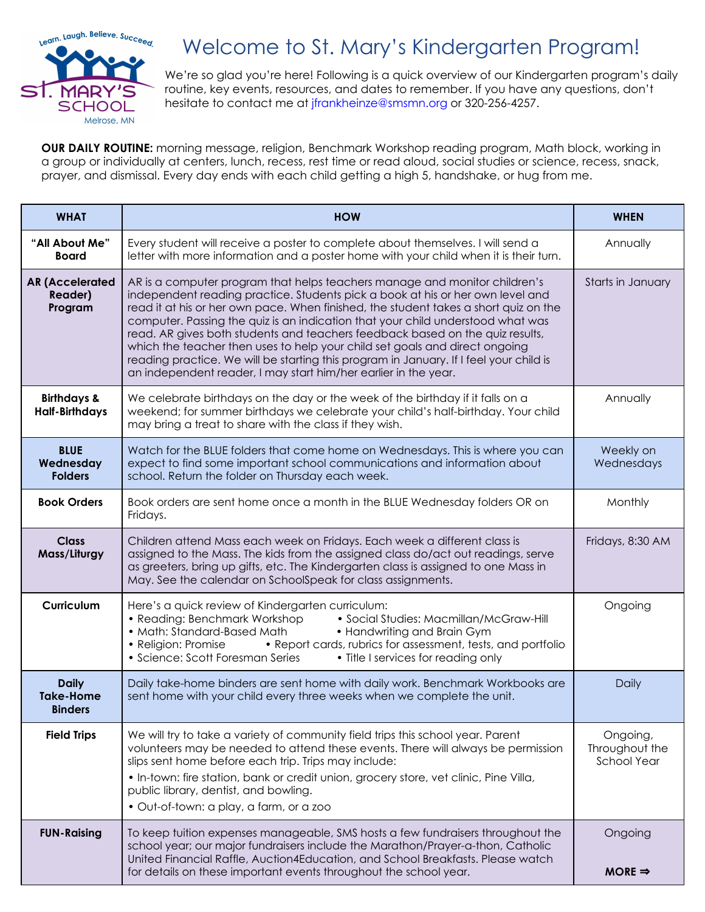

## Welcome to St. Mary's Kindergarten Program!

We're so glad you're here! Following is a quick overview of our Kindergarten program's daily routine, key events, resources, and dates to remember. If you have any questions, don't hesitate to contact me at jfrankheinze@smsmn.org or 320-256-4257.

**OUR DAILY ROUTINE:** morning message, religion, Benchmark Workshop reading program, Math block, working in a group or individually at centers, lunch, recess, rest time or read aloud, social studies or science, recess, snack, prayer, and dismissal. Every day ends with each child getting a high 5, handshake, or hug from me.

| <b>WHAT</b>                                        | <b>HOW</b>                                                                                                                                                                                                                                                                                                                                                                                                                                                                                                                                                                                                                                                           | <b>WHEN</b>                                      |
|----------------------------------------------------|----------------------------------------------------------------------------------------------------------------------------------------------------------------------------------------------------------------------------------------------------------------------------------------------------------------------------------------------------------------------------------------------------------------------------------------------------------------------------------------------------------------------------------------------------------------------------------------------------------------------------------------------------------------------|--------------------------------------------------|
| "All About Me"<br><b>Board</b>                     | Every student will receive a poster to complete about themselves. I will send a<br>letter with more information and a poster home with your child when it is their turn.                                                                                                                                                                                                                                                                                                                                                                                                                                                                                             | Annually                                         |
| <b>AR (Accelerated</b><br>Reader)<br>Program       | AR is a computer program that helps teachers manage and monitor children's<br>independent reading practice. Students pick a book at his or her own level and<br>read it at his or her own pace. When finished, the student takes a short quiz on the<br>computer. Passing the quiz is an indication that your child understood what was<br>read. AR gives both students and teachers feedback based on the quiz results,<br>which the teacher then uses to help your child set goals and direct ongoing<br>reading practice. We will be starting this program in January. If I feel your child is<br>an independent reader, I may start him/her earlier in the year. | Starts in January                                |
| <b>Birthdays &amp;</b><br><b>Half-Birthdays</b>    | We celebrate birthdays on the day or the week of the birthday if it falls on a<br>weekend; for summer birthdays we celebrate your child's half-birthday. Your child<br>may bring a treat to share with the class if they wish.                                                                                                                                                                                                                                                                                                                                                                                                                                       | Annually                                         |
| <b>BLUE</b><br>Wednesday<br><b>Folders</b>         | Watch for the BLUE folders that come home on Wednesdays. This is where you can<br>expect to find some important school communications and information about<br>school. Return the folder on Thursday each week.                                                                                                                                                                                                                                                                                                                                                                                                                                                      | Weekly on<br>Wednesdays                          |
| <b>Book Orders</b>                                 | Book orders are sent home once a month in the BLUE Wednesday folders OR on<br>Fridays.                                                                                                                                                                                                                                                                                                                                                                                                                                                                                                                                                                               | Monthly                                          |
| <b>Class</b><br>Mass/Liturgy                       | Children attend Mass each week on Fridays. Each week a different class is<br>assigned to the Mass. The kids from the assigned class do/act out readings, serve<br>as greeters, bring up gifts, etc. The Kindergarten class is assigned to one Mass in<br>May. See the calendar on SchoolSpeak for class assignments.                                                                                                                                                                                                                                                                                                                                                 | Fridays, 8:30 AM                                 |
| Curriculum                                         | Here's a quick review of Kindergarten curriculum:<br>• Social Studies: Macmillan/McGraw-Hill<br>• Reading: Benchmark Workshop<br>• Math: Standard-Based Math<br>• Handwriting and Brain Gym<br>• Report cards, rubrics for assessment, tests, and portfolio<br>• Religion: Promise<br>• Science: Scott Foresman Series<br>• Title I services for reading only                                                                                                                                                                                                                                                                                                        | Ongoing                                          |
| <b>Daily</b><br><b>Take-Home</b><br><b>Binders</b> | Daily take-home binders are sent home with daily work. Benchmark Workbooks are<br>sent home with your child every three weeks when we complete the unit.                                                                                                                                                                                                                                                                                                                                                                                                                                                                                                             | Daily                                            |
| <b>Field Trips</b>                                 | We will try to take a variety of community field trips this school year. Parent<br>volunteers may be needed to attend these events. There will always be permission<br>slips sent home before each trip. Trips may include:<br>. In-town: fire station, bank or credit union, grocery store, vet clinic, Pine Villa,<br>public library, dentist, and bowling.<br>· Out-of-town: a play, a farm, or a zoo                                                                                                                                                                                                                                                             | Ongoing,<br>Throughout the<br><b>School Year</b> |
| <b>FUN-Raising</b>                                 | To keep tuition expenses manageable, SMS hosts a few fundraisers throughout the<br>school year; our major fundraisers include the Marathon/Prayer-a-thon, Catholic<br>United Financial Raffle, Auction4Education, and School Breakfasts. Please watch<br>for details on these important events throughout the school year.                                                                                                                                                                                                                                                                                                                                           | Ongoing<br>$MORE \Rightarrow$                    |